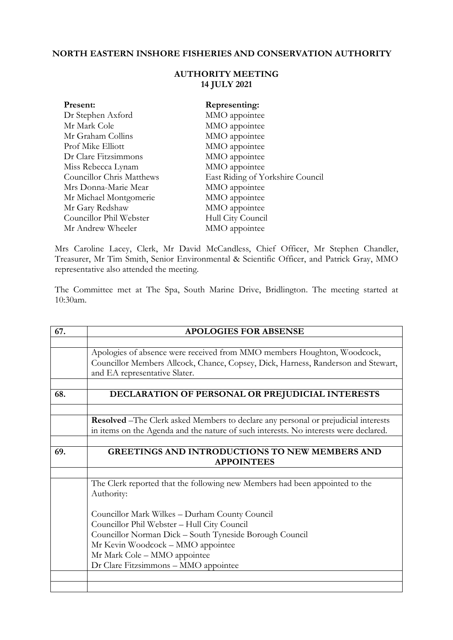## **NORTH EASTERN INSHORE FISHERIES AND CONSERVATION AUTHORITY**

| Present:                         | Representing:                    |
|----------------------------------|----------------------------------|
| Dr Stephen Axford                | MMO appointee                    |
| Mr Mark Cole                     | MMO appointee                    |
| Mr Graham Collins                | MMO appointee                    |
| Prof Mike Elliott                | MMO appointee                    |
| Dr Clare Fitzsimmons             | MMO appointee                    |
| Miss Rebecca Lynam               | MMO appointee                    |
| <b>Councillor Chris Matthews</b> | East Riding of Yorkshire Council |
| Mrs Donna-Marie Mear             | MMO appointee                    |
| Mr Michael Montgomerie           | MMO appointee                    |
| Mr Gary Redshaw                  | MMO appointee                    |
| Councillor Phil Webster          | Hull City Council                |
| Mr Andrew Wheeler                | MMO appointee                    |

## **AUTHORITY MEETING 14 JULY 2021**

Mrs Caroline Lacey, Clerk, Mr David McCandless, Chief Officer, Mr Stephen Chandler, Treasurer, Mr Tim Smith, Senior Environmental & Scientific Officer, and Patrick Gray, MMO representative also attended the meeting.

The Committee met at The Spa, South Marine Drive, Bridlington. The meeting started at 10:30am.

| 67. | <b>APOLOGIES FOR ABSENSE</b>                                                               |
|-----|--------------------------------------------------------------------------------------------|
|     |                                                                                            |
|     | Apologies of absence were received from MMO members Houghton, Woodcock,                    |
|     | Councillor Members Allcock, Chance, Copsey, Dick, Harness, Randerson and Stewart,          |
|     | and EA representative Slater.                                                              |
|     |                                                                                            |
| 68. | DECLARATION OF PERSONAL OR PREJUDICIAL INTERESTS                                           |
|     |                                                                                            |
|     | <b>Resolved</b> – The Clerk asked Members to declare any personal or prejudicial interests |
|     | in items on the Agenda and the nature of such interests. No interests were declared.       |
|     |                                                                                            |
| 69. | <b>GREETINGS AND INTRODUCTIONS TO NEW MEMBERS AND</b>                                      |
|     | <b>APPOINTEES</b>                                                                          |
|     |                                                                                            |
|     | The Clerk reported that the following new Members had been appointed to the                |
|     | Authority:                                                                                 |
|     |                                                                                            |
|     | Councillor Mark Wilkes - Durham County Council                                             |
|     | Councillor Phil Webster - Hull City Council                                                |
|     | Councillor Norman Dick - South Tyneside Borough Council                                    |
|     | Mr Kevin Woodcock - MMO appointee                                                          |
|     | Mr Mark Cole - MMO appointee                                                               |
|     | Dr Clare Fitzsimmons - MMO appointee                                                       |
|     |                                                                                            |
|     |                                                                                            |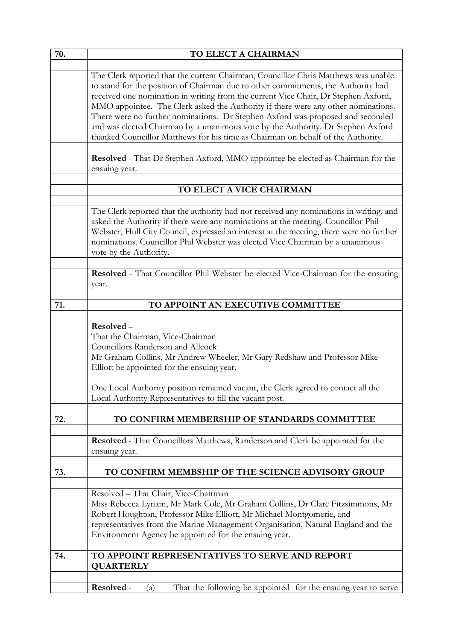| 70. | TO ELECT A CHAIRMAN                                                                                                                                                                                                                                                                                                                                                                                                                                                                                                                                                                                          |
|-----|--------------------------------------------------------------------------------------------------------------------------------------------------------------------------------------------------------------------------------------------------------------------------------------------------------------------------------------------------------------------------------------------------------------------------------------------------------------------------------------------------------------------------------------------------------------------------------------------------------------|
|     |                                                                                                                                                                                                                                                                                                                                                                                                                                                                                                                                                                                                              |
|     | The Clerk reported that the current Chairman, Councillor Chris Matthews was unable<br>to stand for the position of Chairman due to other commitments, the Authority had<br>received one nomination in writing from the current Vice Chair, Dr Stephen Axford,<br>MMO appointee. The Clerk asked the Authority if there were any other nominations.<br>There were no further nominations. Dr Stephen Axford was proposed and seconded<br>and was elected Chairman by a unanimous vote by the Authority. Dr Stephen Axford<br>thanked Councillor Matthews for his time as Chairman on behalf of the Authority. |
|     | Resolved - That Dr Stephen Axford, MMO appointee be elected as Chairman for the<br>ensuing year.                                                                                                                                                                                                                                                                                                                                                                                                                                                                                                             |
|     | TO ELECT A VICE CHAIRMAN                                                                                                                                                                                                                                                                                                                                                                                                                                                                                                                                                                                     |
|     |                                                                                                                                                                                                                                                                                                                                                                                                                                                                                                                                                                                                              |
|     | The Clerk reported that the authority had not received any nominations in writing, and<br>asked the Authority if there were any nominations at the meeting. Councillor Phil<br>Webster, Hull City Council, expressed an interest at the meeting, there were no further<br>nominations. Councillor Phil Webster was elected Vice Chairman by a unanimous<br>vote by the Authority.                                                                                                                                                                                                                            |
|     | Resolved - That Councillor Phil Webster be elected Vice-Chairman for the ensuring<br>year.                                                                                                                                                                                                                                                                                                                                                                                                                                                                                                                   |
| 71. | TO APPOINT AN EXECUTIVE COMMITTEE                                                                                                                                                                                                                                                                                                                                                                                                                                                                                                                                                                            |
|     |                                                                                                                                                                                                                                                                                                                                                                                                                                                                                                                                                                                                              |
|     | Resolved-<br>That the Chairman, Vice-Chairman<br>Councillors Randerson and Allcock<br>Mr Graham Collins, Mr Andrew Wheeler, Mr Gary Redshaw and Professor Mike<br>Elliott be appointed for the ensuing year.<br>One Local Authority position remained vacant, the Clerk agreed to contact all the                                                                                                                                                                                                                                                                                                            |
|     | Local Authority Representatives to fill the vacant post.                                                                                                                                                                                                                                                                                                                                                                                                                                                                                                                                                     |
| 72. | TO CONFIRM MEMBERSHIP OF STANDARDS COMMITTEE                                                                                                                                                                                                                                                                                                                                                                                                                                                                                                                                                                 |
|     | Resolved - That Councillors Matthews, Randerson and Clerk be appointed for the<br>ensuing year.                                                                                                                                                                                                                                                                                                                                                                                                                                                                                                              |
| 73. | TO CONFIRM MEMBSHIP OF THE SCIENCE ADVISORY GROUP                                                                                                                                                                                                                                                                                                                                                                                                                                                                                                                                                            |
|     | Resolved - That Chair, Vice-Chairman<br>Miss Rebecca Lynam, Mr Mark Cole, Mr Graham Collins, Dr Clare Fitzsimmons, Mr<br>Robert Houghton, Professor Mike Elliott, Mr Michael Montgomerie, and<br>representatives from the Marine Management Organisation, Natural England and the<br>Environment Agency be appointed for the ensuing year.                                                                                                                                                                                                                                                                   |
| 74. | TO APPOINT REPRESENTATIVES TO SERVE AND REPORT<br><b>QUARTERLY</b>                                                                                                                                                                                                                                                                                                                                                                                                                                                                                                                                           |
|     | Resolved -<br>That the following be appointed for the ensuing year to serve<br>(a)                                                                                                                                                                                                                                                                                                                                                                                                                                                                                                                           |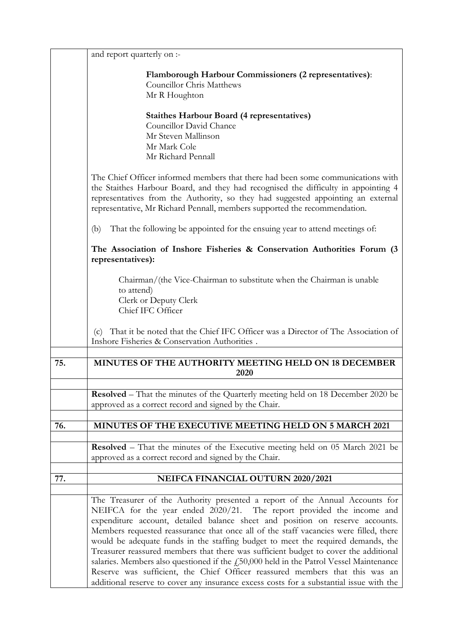|     | and report quarterly on :-                                                                                                                                                                                                                                                                                                                                                                                                                                                                                                                                                                                                                                                                                                                                                          |
|-----|-------------------------------------------------------------------------------------------------------------------------------------------------------------------------------------------------------------------------------------------------------------------------------------------------------------------------------------------------------------------------------------------------------------------------------------------------------------------------------------------------------------------------------------------------------------------------------------------------------------------------------------------------------------------------------------------------------------------------------------------------------------------------------------|
|     | Flamborough Harbour Commissioners (2 representatives):<br><b>Councillor Chris Matthews</b><br>Mr R Houghton                                                                                                                                                                                                                                                                                                                                                                                                                                                                                                                                                                                                                                                                         |
|     | <b>Staithes Harbour Board (4 representatives)</b><br>Councillor David Chance<br>Mr Steven Mallinson                                                                                                                                                                                                                                                                                                                                                                                                                                                                                                                                                                                                                                                                                 |
|     | Mr Mark Cole<br>Mr Richard Pennall                                                                                                                                                                                                                                                                                                                                                                                                                                                                                                                                                                                                                                                                                                                                                  |
|     | The Chief Officer informed members that there had been some communications with<br>the Staithes Harbour Board, and they had recognised the difficulty in appointing 4<br>representatives from the Authority, so they had suggested appointing an external<br>representative, Mr Richard Pennall, members supported the recommendation.                                                                                                                                                                                                                                                                                                                                                                                                                                              |
|     | That the following be appointed for the ensuing year to attend meetings of:<br>(b)                                                                                                                                                                                                                                                                                                                                                                                                                                                                                                                                                                                                                                                                                                  |
|     | The Association of Inshore Fisheries & Conservation Authorities Forum (3<br>representatives):                                                                                                                                                                                                                                                                                                                                                                                                                                                                                                                                                                                                                                                                                       |
|     | Chairman/(the Vice-Chairman to substitute when the Chairman is unable<br>to attend)<br>Clerk or Deputy Clerk<br>Chief IFC Officer                                                                                                                                                                                                                                                                                                                                                                                                                                                                                                                                                                                                                                                   |
|     | That it be noted that the Chief IFC Officer was a Director of The Association of<br>(c)<br>Inshore Fisheries & Conservation Authorities.                                                                                                                                                                                                                                                                                                                                                                                                                                                                                                                                                                                                                                            |
| 75. | MINUTES OF THE AUTHORITY MEETING HELD ON 18 DECEMBER<br>2020                                                                                                                                                                                                                                                                                                                                                                                                                                                                                                                                                                                                                                                                                                                        |
|     | <b>Resolved</b> – That the minutes of the Quarterly meeting held on 18 December 2020 be<br>approved as a correct record and signed by the Chair.                                                                                                                                                                                                                                                                                                                                                                                                                                                                                                                                                                                                                                    |
| 76. | MINUTES OF THE EXECUTIVE MEETING HELD ON 5 MARCH 2021                                                                                                                                                                                                                                                                                                                                                                                                                                                                                                                                                                                                                                                                                                                               |
|     | <b>Resolved</b> – That the minutes of the Executive meeting held on 05 March 2021 be<br>approved as a correct record and signed by the Chair.                                                                                                                                                                                                                                                                                                                                                                                                                                                                                                                                                                                                                                       |
| 77. | NEIFCA FINANCIAL OUTURN 2020/2021                                                                                                                                                                                                                                                                                                                                                                                                                                                                                                                                                                                                                                                                                                                                                   |
|     | The Treasurer of the Authority presented a report of the Annual Accounts for<br>NEIFCA for the year ended 2020/21. The report provided the income and<br>expenditure account, detailed balance sheet and position on reserve accounts.<br>Members requested reassurance that once all of the staff vacancies were filled, there<br>would be adequate funds in the staffing budget to meet the required demands, the<br>Treasurer reassured members that there was sufficient budget to cover the additional<br>salaries. Members also questioned if the $f250,000$ held in the Patrol Vessel Maintenance<br>Reserve was sufficient, the Chief Officer reassured members that this was an<br>additional reserve to cover any insurance excess costs for a substantial issue with the |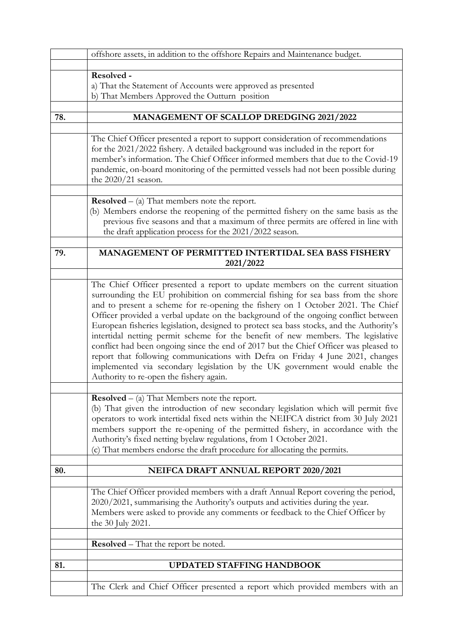|     | offshore assets, in addition to the offshore Repairs and Maintenance budget.                                                                                                                                                                                                                                                                                                                                                                                                                                                                                                                                                                                                                                                                  |
|-----|-----------------------------------------------------------------------------------------------------------------------------------------------------------------------------------------------------------------------------------------------------------------------------------------------------------------------------------------------------------------------------------------------------------------------------------------------------------------------------------------------------------------------------------------------------------------------------------------------------------------------------------------------------------------------------------------------------------------------------------------------|
|     |                                                                                                                                                                                                                                                                                                                                                                                                                                                                                                                                                                                                                                                                                                                                               |
|     | Resolved -<br>a) That the Statement of Accounts were approved as presented<br>b) That Members Approved the Outturn position                                                                                                                                                                                                                                                                                                                                                                                                                                                                                                                                                                                                                   |
| 78. | <b>MANAGEMENT OF SCALLOP DREDGING 2021/2022</b>                                                                                                                                                                                                                                                                                                                                                                                                                                                                                                                                                                                                                                                                                               |
|     | The Chief Officer presented a report to support consideration of recommendations<br>for the 2021/2022 fishery. A detailed background was included in the report for<br>member's information. The Chief Officer informed members that due to the Covid-19<br>pandemic, on-board monitoring of the permitted vessels had not been possible during<br>the $2020/21$ season.                                                                                                                                                                                                                                                                                                                                                                      |
|     | <b>Resolved</b> $-$ (a) That members note the report.<br>(b) Members endorse the reopening of the permitted fishery on the same basis as the<br>previous five seasons and that a maximum of three permits are offered in line with<br>the draft application process for the 2021/2022 season.                                                                                                                                                                                                                                                                                                                                                                                                                                                 |
| 79. | <b>MANAGEMENT OF PERMITTED INTERTIDAL SEA BASS FISHERY</b><br>2021/2022                                                                                                                                                                                                                                                                                                                                                                                                                                                                                                                                                                                                                                                                       |
|     | The Chief Officer presented a report to update members on the current situation                                                                                                                                                                                                                                                                                                                                                                                                                                                                                                                                                                                                                                                               |
|     | surrounding the EU prohibition on commercial fishing for sea bass from the shore<br>and to present a scheme for re-opening the fishery on 1 October 2021. The Chief<br>Officer provided a verbal update on the background of the ongoing conflict between<br>European fisheries legislation, designed to protect sea bass stocks, and the Authority's<br>intertidal netting permit scheme for the benefit of new members. The legislative<br>conflict had been ongoing since the end of 2017 but the Chief Officer was pleased to<br>report that following communications with Defra on Friday 4 June 2021, changes<br>implemented via secondary legislation by the UK government would enable the<br>Authority to re-open the fishery again. |
|     |                                                                                                                                                                                                                                                                                                                                                                                                                                                                                                                                                                                                                                                                                                                                               |
|     | <b>Resolved</b> $-$ (a) That Members note the report.<br>(b) That given the introduction of new secondary legislation which will permit five<br>operators to work intertidal fixed nets within the NEIFCA district from 30 July 2021<br>members support the re-opening of the permitted fishery, in accordance with the<br>Authority's fixed netting byelaw regulations, from 1 October 2021.<br>(c) That members endorse the draft procedure for allocating the permits.                                                                                                                                                                                                                                                                     |
| 80. | NEIFCA DRAFT ANNUAL REPORT 2020/2021                                                                                                                                                                                                                                                                                                                                                                                                                                                                                                                                                                                                                                                                                                          |
|     |                                                                                                                                                                                                                                                                                                                                                                                                                                                                                                                                                                                                                                                                                                                                               |
|     | The Chief Officer provided members with a draft Annual Report covering the period,<br>2020/2021, summarising the Authority's outputs and activities during the year.<br>Members were asked to provide any comments or feedback to the Chief Officer by<br>the 30 July 2021.                                                                                                                                                                                                                                                                                                                                                                                                                                                                   |
|     | <b>Resolved</b> – That the report be noted.                                                                                                                                                                                                                                                                                                                                                                                                                                                                                                                                                                                                                                                                                                   |
|     |                                                                                                                                                                                                                                                                                                                                                                                                                                                                                                                                                                                                                                                                                                                                               |
| 81. | UPDATED STAFFING HANDBOOK                                                                                                                                                                                                                                                                                                                                                                                                                                                                                                                                                                                                                                                                                                                     |
|     | The Clerk and Chief Officer presented a report which provided members with an                                                                                                                                                                                                                                                                                                                                                                                                                                                                                                                                                                                                                                                                 |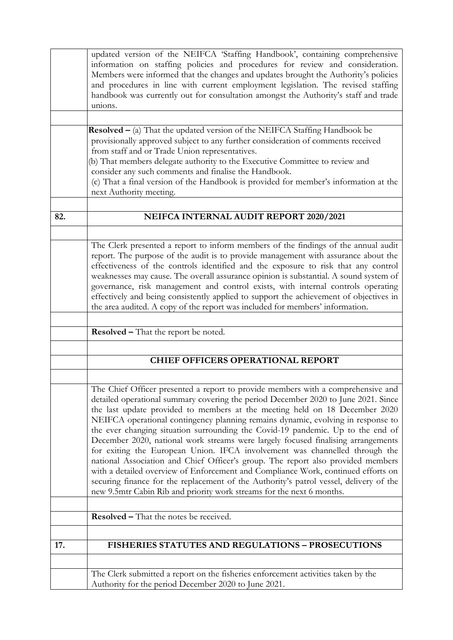|     | updated version of the NEIFCA 'Staffing Handbook', containing comprehensive<br>information on staffing policies and procedures for review and consideration.<br>Members were informed that the changes and updates brought the Authority's policies |
|-----|-----------------------------------------------------------------------------------------------------------------------------------------------------------------------------------------------------------------------------------------------------|
|     | and procedures in line with current employment legislation. The revised staffing<br>handbook was currently out for consultation amongst the Authority's staff and trade<br>unions.                                                                  |
|     |                                                                                                                                                                                                                                                     |
|     | <b>Resolved</b> $-$ (a) That the updated version of the NEIFCA Staffing Handbook be                                                                                                                                                                 |
|     | provisionally approved subject to any further consideration of comments received<br>from staff and or Trade Union representatives.                                                                                                                  |
|     | (b) That members delegate authority to the Executive Committee to review and<br>consider any such comments and finalise the Handbook.                                                                                                               |
|     | (c) That a final version of the Handbook is provided for member's information at the<br>next Authority meeting.                                                                                                                                     |
|     |                                                                                                                                                                                                                                                     |
| 82. | NEIFCA INTERNAL AUDIT REPORT 2020/2021                                                                                                                                                                                                              |
|     |                                                                                                                                                                                                                                                     |
|     | The Clerk presented a report to inform members of the findings of the annual audit<br>report. The purpose of the audit is to provide management with assurance about the                                                                            |
|     | effectiveness of the controls identified and the exposure to risk that any control                                                                                                                                                                  |
|     | weaknesses may cause. The overall assurance opinion is substantial. A sound system of<br>governance, risk management and control exists, with internal controls operating                                                                           |
|     | effectively and being consistently applied to support the achievement of objectives in                                                                                                                                                              |
|     | the area audited. A copy of the report was included for members' information.                                                                                                                                                                       |
|     |                                                                                                                                                                                                                                                     |
|     | Resolved - That the report be noted.                                                                                                                                                                                                                |
|     |                                                                                                                                                                                                                                                     |
|     | <b>CHIEF OFFICERS OPERATIONAL REPORT</b>                                                                                                                                                                                                            |
|     |                                                                                                                                                                                                                                                     |
|     | The Chief Officer presented a report to provide members with a comprehensive and<br>detailed operational summary covering the period December 2020 to June 2021. Since                                                                              |
|     | the last update provided to members at the meeting held on 18 December 2020<br>NEIFCA operational contingency planning remains dynamic, evolving in response to<br>the ever changing situation surrounding the Covid-19 pandemic. Up to the end of  |
|     | December 2020, national work streams were largely focused finalising arrangements                                                                                                                                                                   |
|     | for exiting the European Union. IFCA involvement was channelled through the                                                                                                                                                                         |
|     | national Association and Chief Officer's group. The report also provided members<br>with a detailed overview of Enforcement and Compliance Work, continued efforts on                                                                               |
|     | securing finance for the replacement of the Authority's patrol vessel, delivery of the                                                                                                                                                              |
|     | new 9.5mtr Cabin Rib and priority work streams for the next 6 months.                                                                                                                                                                               |
|     |                                                                                                                                                                                                                                                     |
|     | <b>Resolved – That the notes be received.</b>                                                                                                                                                                                                       |
|     |                                                                                                                                                                                                                                                     |
| 17. | FISHERIES STATUTES AND REGULATIONS - PROSECUTIONS                                                                                                                                                                                                   |
|     |                                                                                                                                                                                                                                                     |
|     | The Clerk submitted a report on the fisheries enforcement activities taken by the                                                                                                                                                                   |
|     | Authority for the period December 2020 to June 2021.                                                                                                                                                                                                |